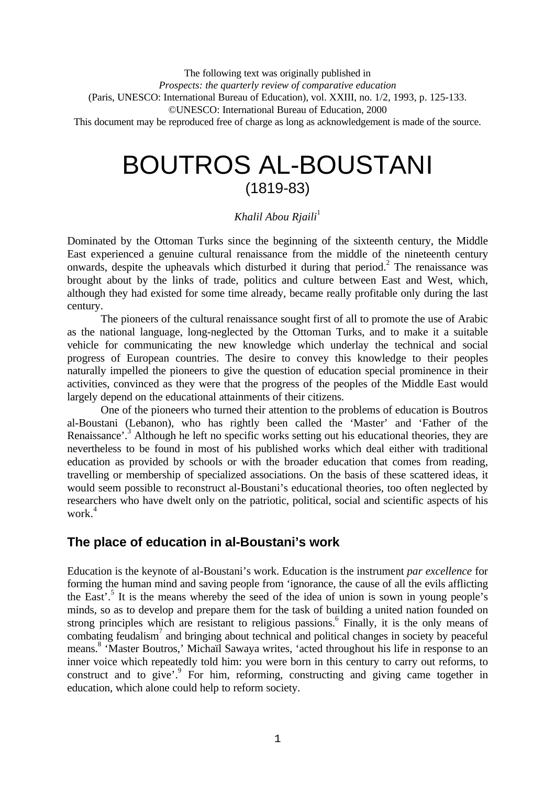The following text was originally published in *Prospects: the quarterly review of comparative education* (Paris, UNESCO: International Bureau of Education), vol. XXIII, no. 1/2, 1993, p. 125-133. ©UNESCO: International Bureau of Education, 2000 This document may be reproduced free of charge as long as acknowledgement is made of the source.

# BOUTROS AL-BOUSTANI (1819-83)

## *Khalil Abou Riaili*<sup>1</sup>

Dominated by the Ottoman Turks since the beginning of the sixteenth century, the Middle East experienced a genuine cultural renaissance from the middle of the nineteenth century onwards, despite the upheavals which disturbed it during that period.<sup>2</sup> The renaissance was brought about by the links of trade, politics and culture between East and West, which, although they had existed for some time already, became really profitable only during the last century.

The pioneers of the cultural renaissance sought first of all to promote the use of Arabic as the national language, long-neglected by the Ottoman Turks, and to make it a suitable vehicle for communicating the new knowledge which underlay the technical and social progress of European countries. The desire to convey this knowledge to their peoples naturally impelled the pioneers to give the question of education special prominence in their activities, convinced as they were that the progress of the peoples of the Middle East would largely depend on the educational attainments of their citizens.

One of the pioneers who turned their attention to the problems of education is Boutros al-Boustani (Lebanon), who has rightly been called the 'Master' and 'Father of the Renaissance'.<sup>3</sup> Although he left no specific works setting out his educational theories, they are nevertheless to be found in most of his published works which deal either with traditional education as provided by schools or with the broader education that comes from reading, travelling or membership of specialized associations. On the basis of these scattered ideas, it would seem possible to reconstruct al-Boustani's educational theories, too often neglected by researchers who have dwelt only on the patriotic, political, social and scientific aspects of his work.<sup>4</sup>

## **The place of education in al-Boustani's work**

Education is the keynote of al-Boustani's work. Education is the instrument *par excellence* for forming the human mind and saving people from 'ignorance, the cause of all the evils afflicting the East'.<sup>5</sup> It is the means whereby the seed of the idea of union is sown in young people's minds, so as to develop and prepare them for the task of building a united nation founded on strong principles which are resistant to religious passions.<sup>6</sup> Finally, it is the only means of combating feudalism<sup>7</sup> and bringing about technical and political changes in society by peaceful means.<sup>8</sup> 'Master Boutros,' Michaïl Sawaya writes, 'acted throughout his life in response to an inner voice which repeatedly told him: you were born in this century to carry out reforms, to construct and to give'.<sup>9</sup> For him, reforming, constructing and giving came together in education, which alone could help to reform society.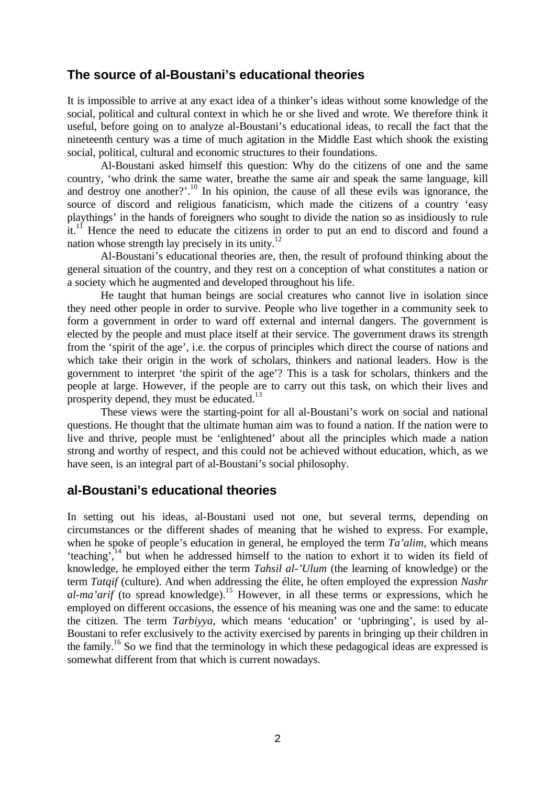## **The source of al-Boustani's educational theories**

It is impossible to arrive at any exact idea of a thinker's ideas without some knowledge of the social, political and cultural context in which he or she lived and wrote. We therefore think it useful, before going on to analyze al-Boustani's educational ideas, to recall the fact that the nineteenth century was a time of much agitation in the Middle East which shook the existing social, political, cultural and economic structures to their foundations.

Al-Boustani asked himself this question: Why do the citizens of one and the same country, 'who drink the same water, breathe the same air and speak the same language, kill and destroy one another?'.<sup>10</sup> In his opinion, the cause of all these evils was ignorance, the source of discord and religious fanaticism, which made the citizens of a country 'easy playthings' in the hands of foreigners who sought to divide the nation so as insidiously to rule it.<sup>11</sup> Hence the need to educate the citizens in order to put an end to discord and found a nation whose strength lay precisely in its unity.<sup>12</sup>

Al-Boustani's educational theories are, then, the result of profound thinking about the general situation of the country, and they rest on a conception of what constitutes a nation or a society which he augmented and developed throughout his life.

He taught that human beings are social creatures who cannot live in isolation since they need other people in order to survive. People who live together in a community seek to form a government in order to ward off external and internal dangers. The government is elected by the people and must place itself at their service. The government draws its strength from the 'spirit of the age', i.e. the corpus of principles which direct the course of nations and which take their origin in the work of scholars, thinkers and national leaders. How is the government to interpret 'the spirit of the age'? This is a task for scholars, thinkers and the people at large. However, if the people are to carry out this task, on which their lives and prosperity depend, they must be educated.<sup>13</sup>

These views were the starting-point for all al-Boustani's work on social and national questions. He thought that the ultimate human aim was to found a nation. If the nation were to live and thrive, people must be 'enlightened' about all the principles which made a nation strong and worthy of respect, and this could not be achieved without education, which, as we have seen, is an integral part of al-Boustani's social philosophy.

## **al-Boustani's educational theories**

In setting out his ideas, al-Boustani used not one, but several terms, depending on circumstances or the different shades of meaning that he wished to express. For example, when he spoke of people's education in general, he employed the term *Ta'alim*, which means 'teaching',<sup>14</sup> but when he addressed himself to the nation to exhort it to widen its field of knowledge, he employed either the term *Tahsil al-'Ulum* (the learning of knowledge) or the term *Tatqif* (culture). And when addressing the élite, he often employed the expression *Nashr al-ma'arif* (to spread knowledge). <sup>15</sup> However, in all these terms or expressions, which he employed on different occasions, the essence of his meaning was one and the same: to educate the citizen. The term *Tarbiyya*, which means 'education' or 'upbringing', is used by al-Boustani to refer exclusively to the activity exercised by parents in bringing up their children in the family.<sup>16</sup> So we find that the terminology in which these pedagogical ideas are expressed is somewhat different from that which is current nowadays.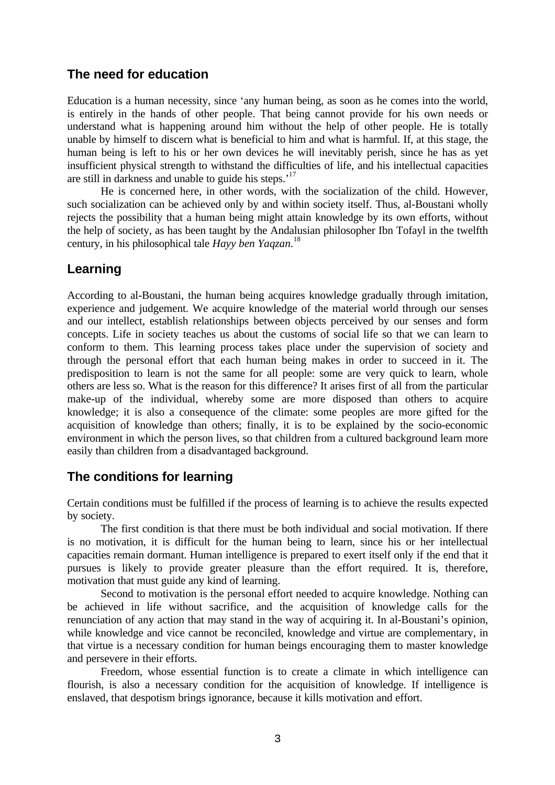## **The need for education**

Education is a human necessity, since 'any human being, as soon as he comes into the world, is entirely in the hands of other people. That being cannot provide for his own needs or understand what is happening around him without the help of other people. He is totally unable by himself to discern what is beneficial to him and what is harmful. If, at this stage, the human being is left to his or her own devices he will inevitably perish, since he has as yet insufficient physical strength to withstand the difficulties of life, and his intellectual capacities are still in darkness and unable to guide his steps.<sup>17</sup>

He is concerned here, in other words, with the socialization of the child. However, such socialization can be achieved only by and within society itself. Thus, al-Boustani wholly rejects the possibility that a human being might attain knowledge by its own efforts, without the help of society, as has been taught by the Andalusian philosopher Ibn Tofayl in the twelfth century, in his philosophical tale *Hayy ben Yaqzan*. 18

## **Learning**

According to al-Boustani, the human being acquires knowledge gradually through imitation, experience and judgement. We acquire knowledge of the material world through our senses and our intellect, establish relationships between objects perceived by our senses and form concepts. Life in society teaches us about the customs of social life so that we can learn to conform to them. This learning process takes place under the supervision of society and through the personal effort that each human being makes in order to succeed in it. The predisposition to learn is not the same for all people: some are very quick to learn, whole others are less so. What is the reason for this difference? It arises first of all from the particular make-up of the individual, whereby some are more disposed than others to acquire knowledge; it is also a consequence of the climate: some peoples are more gifted for the acquisition of knowledge than others; finally, it is to be explained by the socio-economic environment in which the person lives, so that children from a cultured background learn more easily than children from a disadvantaged background.

## **The conditions for learning**

Certain conditions must be fulfilled if the process of learning is to achieve the results expected by society.

The first condition is that there must be both individual and social motivation. If there is no motivation, it is difficult for the human being to learn, since his or her intellectual capacities remain dormant. Human intelligence is prepared to exert itself only if the end that it pursues is likely to provide greater pleasure than the effort required. It is, therefore, motivation that must guide any kind of learning.

Second to motivation is the personal effort needed to acquire knowledge. Nothing can be achieved in life without sacrifice, and the acquisition of knowledge calls for the renunciation of any action that may stand in the way of acquiring it. In al-Boustani's opinion, while knowledge and vice cannot be reconciled, knowledge and virtue are complementary, in that virtue is a necessary condition for human beings encouraging them to master knowledge and persevere in their efforts.

Freedom, whose essential function is to create a climate in which intelligence can flourish, is also a necessary condition for the acquisition of knowledge. If intelligence is enslaved, that despotism brings ignorance, because it kills motivation and effort.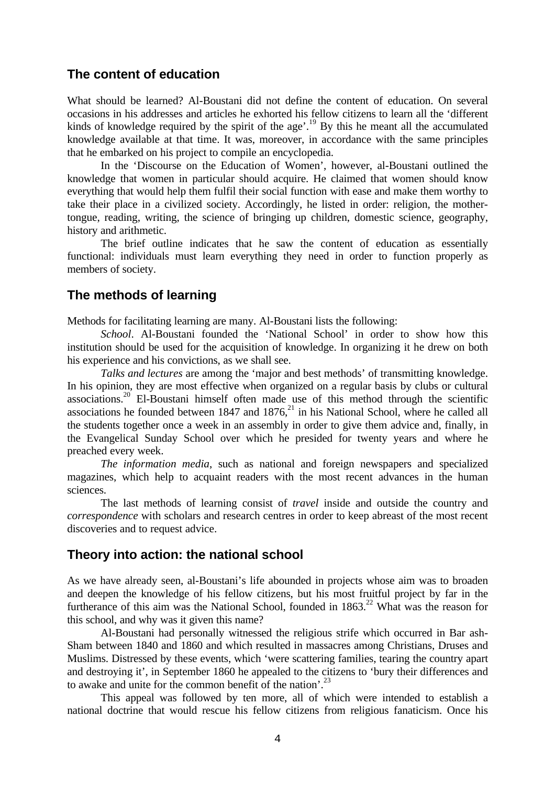#### **The content of education**

What should be learned? Al-Boustani did not define the content of education. On several occasions in his addresses and articles he exhorted his fellow citizens to learn all the 'different kinds of knowledge required by the spirit of the age'.<sup>19</sup> By this he meant all the accumulated knowledge available at that time. It was, moreover, in accordance with the same principles that he embarked on his project to compile an encyclopedia.

In the 'Discourse on the Education of Women', however, al-Boustani outlined the knowledge that women in particular should acquire. He claimed that women should know everything that would help them fulfil their social function with ease and make them worthy to take their place in a civilized society. Accordingly, he listed in order: religion, the mothertongue, reading, writing, the science of bringing up children, domestic science, geography, history and arithmetic.

The brief outline indicates that he saw the content of education as essentially functional: individuals must learn everything they need in order to function properly as members of society.

#### **The methods of learning**

Methods for facilitating learning are many. Al-Boustani lists the following:

*School*. Al-Boustani founded the 'National School' in order to show how this institution should be used for the acquisition of knowledge. In organizing it he drew on both his experience and his convictions, as we shall see.

*Talks and lectures* are among the 'major and best methods' of transmitting knowledge. In his opinion, they are most effective when organized on a regular basis by clubs or cultural associations.<sup>20</sup> El-Boustani himself often made use of this method through the scientific associations he founded between  $1847$  and  $1876$ ,<sup>21</sup> in his National School, where he called all the students together once a week in an assembly in order to give them advice and, finally, in the Evangelical Sunday School over which he presided for twenty years and where he preached every week.

*The information media*, such as national and foreign newspapers and specialized magazines, which help to acquaint readers with the most recent advances in the human sciences.

The last methods of learning consist of *travel* inside and outside the country and *correspondence* with scholars and research centres in order to keep abreast of the most recent discoveries and to request advice.

#### **Theory into action: the national school**

As we have already seen, al-Boustani's life abounded in projects whose aim was to broaden and deepen the knowledge of his fellow citizens, but his most fruitful project by far in the furtherance of this aim was the National School, founded in  $1863$ <sup>22</sup> What was the reason for this school, and why was it given this name?

Al-Boustani had personally witnessed the religious strife which occurred in Bar ash-Sham between 1840 and 1860 and which resulted in massacres among Christians, Druses and Muslims. Distressed by these events, which 'were scattering families, tearing the country apart and destroying it', in September 1860 he appealed to the citizens to 'bury their differences and to awake and unite for the common benefit of the nation'.<sup>23</sup>

This appeal was followed by ten more, all of which were intended to establish a national doctrine that would rescue his fellow citizens from religious fanaticism. Once his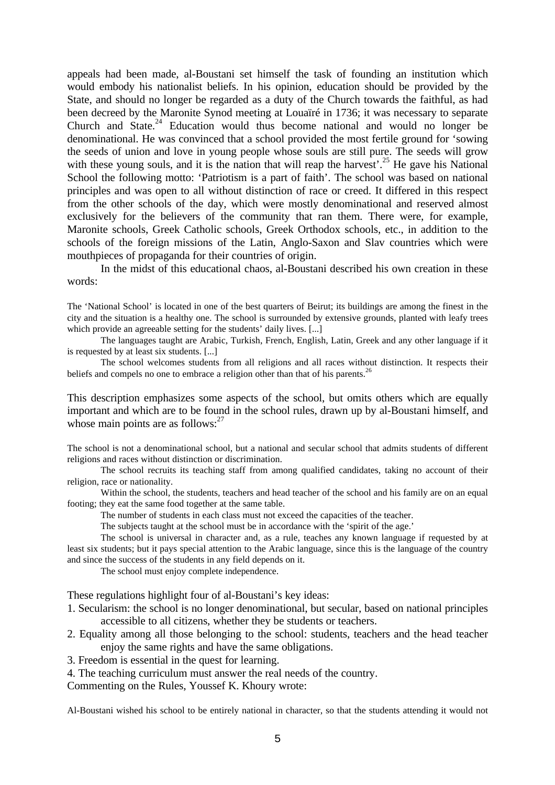appeals had been made, al-Boustani set himself the task of founding an institution which would embody his nationalist beliefs. In his opinion, education should be provided by the State, and should no longer be regarded as a duty of the Church towards the faithful, as had been decreed by the Maronite Synod meeting at Louaïré in 1736; it was necessary to separate Church and State. $24$  Education would thus become national and would no longer be denominational. He was convinced that a school provided the most fertile ground for 'sowing the seeds of union and love in young people whose souls are still pure. The seeds will grow with these young souls, and it is the nation that will reap the harvest'.<sup>25</sup> He gave his National School the following motto: 'Patriotism is a part of faith'. The school was based on national principles and was open to all without distinction of race or creed. It differed in this respect from the other schools of the day, which were mostly denominational and reserved almost exclusively for the believers of the community that ran them. There were, for example, Maronite schools, Greek Catholic schools, Greek Orthodox schools, etc., in addition to the schools of the foreign missions of the Latin, Anglo-Saxon and Slav countries which were mouthpieces of propaganda for their countries of origin.

In the midst of this educational chaos, al-Boustani described his own creation in these words:

The 'National School' is located in one of the best quarters of Beirut; its buildings are among the finest in the city and the situation is a healthy one. The school is surrounded by extensive grounds, planted with leafy trees which provide an agreeable setting for the students' daily lives. [...]

The languages taught are Arabic, Turkish, French, English, Latin, Greek and any other language if it is requested by at least six students. [...]

The school welcomes students from all religions and all races without distinction. It respects their beliefs and compels no one to embrace a religion other than that of his parents.<sup>26</sup>

This description emphasizes some aspects of the school, but omits others which are equally important and which are to be found in the school rules, drawn up by al-Boustani himself, and whose main points are as follows:<sup>27</sup>

The school is not a denominational school, but a national and secular school that admits students of different religions and races without distinction or discrimination.

The school recruits its teaching staff from among qualified candidates, taking no account of their religion, race or nationality.

Within the school, the students, teachers and head teacher of the school and his family are on an equal footing; they eat the same food together at the same table.

The number of students in each class must not exceed the capacities of the teacher.

The subjects taught at the school must be in accordance with the 'spirit of the age.'

The school is universal in character and, as a rule, teaches any known language if requested by at least six students; but it pays special attention to the Arabic language, since this is the language of the country and since the success of the students in any field depends on it.

The school must enjoy complete independence.

These regulations highlight four of al-Boustani's key ideas:

- 1. Secularism: the school is no longer denominational, but secular, based on national principles accessible to all citizens, whether they be students or teachers.
- 2. Equality among all those belonging to the school: students, teachers and the head teacher enjoy the same rights and have the same obligations.
- 3. Freedom is essential in the quest for learning.

4. The teaching curriculum must answer the real needs of the country.

Commenting on the Rules, Youssef K. Khoury wrote:

Al-Boustani wished his school to be entirely national in character, so that the students attending it would not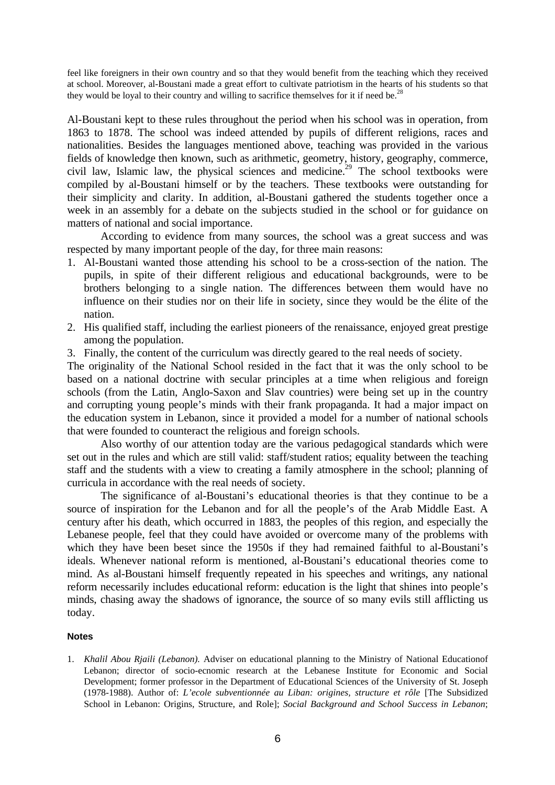feel like foreigners in their own country and so that they would benefit from the teaching which they received at school. Moreover, al-Boustani made a great effort to cultivate patriotism in the hearts of his students so that they would be loyal to their country and willing to sacrifice themselves for it if need be.<sup>2</sup>

Al-Boustani kept to these rules throughout the period when his school was in operation, from 1863 to 1878. The school was indeed attended by pupils of different religions, races and nationalities. Besides the languages mentioned above, teaching was provided in the various fields of knowledge then known, such as arithmetic, geometry, history, geography, commerce, civil law, Islamic law, the physical sciences and medicine.<sup>29</sup> The school textbooks were compiled by al-Boustani himself or by the teachers. These textbooks were outstanding for their simplicity and clarity. In addition, al-Boustani gathered the students together once a week in an assembly for a debate on the subjects studied in the school or for guidance on matters of national and social importance.

According to evidence from many sources, the school was a great success and was respected by many important people of the day, for three main reasons:

- 1. Al-Boustani wanted those attending his school to be a cross-section of the nation. The pupils, in spite of their different religious and educational backgrounds, were to be brothers belonging to a single nation. The differences between them would have no influence on their studies nor on their life in society, since they would be the élite of the nation.
- 2. His qualified staff, including the earliest pioneers of the renaissance, enjoyed great prestige among the population.
- 3. Finally, the content of the curriculum was directly geared to the real needs of society.

The originality of the National School resided in the fact that it was the only school to be based on a national doctrine with secular principles at a time when religious and foreign schools (from the Latin, Anglo-Saxon and Slav countries) were being set up in the country and corrupting young people's minds with their frank propaganda. It had a major impact on the education system in Lebanon, since it provided a model for a number of national schools that were founded to counteract the religious and foreign schools.

Also worthy of our attention today are the various pedagogical standards which were set out in the rules and which are still valid: staff/student ratios; equality between the teaching staff and the students with a view to creating a family atmosphere in the school; planning of curricula in accordance with the real needs of society.

The significance of al-Boustani's educational theories is that they continue to be a source of inspiration for the Lebanon and for all the people's of the Arab Middle East. A century after his death, which occurred in 1883, the peoples of this region, and especially the Lebanese people, feel that they could have avoided or overcome many of the problems with which they have been beset since the 1950s if they had remained faithful to al-Boustani's ideals. Whenever national reform is mentioned, al-Boustani's educational theories come to mind. As al-Boustani himself frequently repeated in his speeches and writings, any national reform necessarily includes educational reform: education is the light that shines into people's minds, chasing away the shadows of ignorance, the source of so many evils still afflicting us today.

#### **Notes**

1. *Khalil Abou Rjaili (Lebanon).* Adviser on educational planning to the Ministry of National Educationof Lebanon; director of socio-ecnomic research at the Lebanese Institute for Economic and Social Development; former professor in the Department of Educational Sciences of the University of St. Joseph (1978-1988). Author of: *L'ecole subventionnée au Liban: origines, structure et rôle* [The Subsidized School in Lebanon: Origins, Structure, and Role]; *Social Background and School Success in Lebanon*;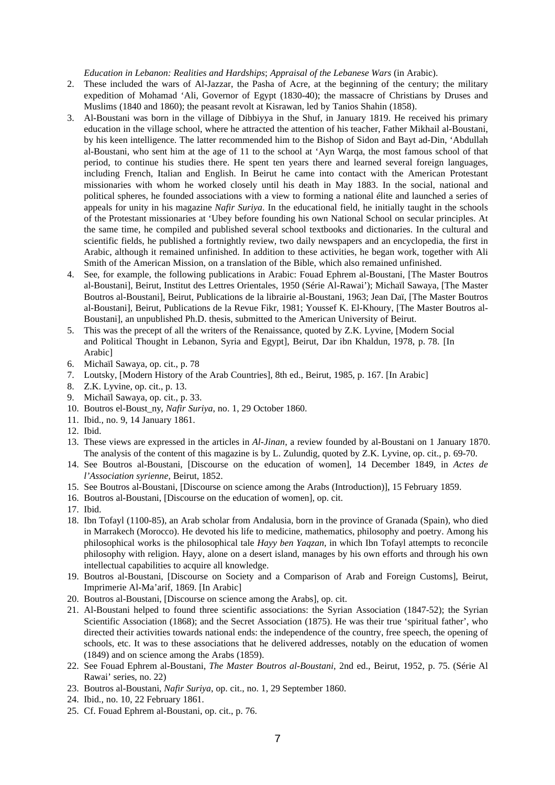*Education in Lebanon: Realities and Hardships*; *Appraisal of the Lebanese Wars* (in Arabic).

- 2. These included the wars of Al-Jazzar, the Pasha of Acre, at the beginning of the century; the military expedition of Mohamad 'Ali, Governor of Egypt (1830-40); the massacre of Christians by Druses and Muslims (1840 and 1860); the peasant revolt at Kisrawan, led by Tanios Shahin (1858).
- 3. Al-Boustani was born in the village of Dibbiyya in the Shuf, in January 1819. He received his primary education in the village school, where he attracted the attention of his teacher, Father Mikhail al-Boustani, by his keen intelligence. The latter recommended him to the Bishop of Sidon and Bayt ad-Din, 'Abdullah al-Boustani, who sent him at the age of 11 to the school at 'Ayn Warqa, the most famous school of that period, to continue his studies there. He spent ten years there and learned several foreign languages, including French, Italian and English. In Beirut he came into contact with the American Protestant missionaries with whom he worked closely until his death in May 1883. In the social, national and political spheres, he founded associations with a view to forming a national élite and launched a series of appeals for unity in his magazine *Nafir Suriya*. In the educational field, he initially taught in the schools of the Protestant missionaries at 'Ubey before founding his own National School on secular principles. At the same time, he compiled and published several school textbooks and dictionaries. In the cultural and scientific fields, he published a fortnightly review, two daily newspapers and an encyclopedia, the first in Arabic, although it remained unfinished. In addition to these activities, he began work, together with Ali Smith of the American Mission, on a translation of the Bible, which also remained unfinished.
- 4. See, for example, the following publications in Arabic: Fouad Ephrem al-Boustani, [The Master Boutros al-Boustani], Beirut, Institut des Lettres Orientales, 1950 (Série Al-Rawai'); Michaïl Sawaya, [The Master Boutros al-Boustani], Beirut, Publications de la librairie al-Boustani, 1963; Jean Daï, [The Master Boutros al-Boustani], Beirut, Publications de la Revue Fikr, 1981; Youssef K. El-Khoury, [The Master Boutros al-Boustani], an unpublished Ph.D. thesis, submitted to the American University of Beirut.
- 5. This was the precept of all the writers of the Renaissance, quoted by Z.K. Lyvine, [Modern Social and Political Thought in Lebanon, Syria and Egypt], Beirut, Dar ibn Khaldun, 1978, p. 78. [In Arabic]
- 6. Michaïl Sawaya, op. cit., p. 78
- 7. Loutsky, [Modern History of the Arab Countries], 8th ed., Beirut, 1985, p. 167. [In Arabic]
- 8. Z.K. Lyvine, op. cit., p. 13.
- 9. Michaïl Sawaya, op. cit., p. 33.
- 10. Boutros el-Boust\_ny, *Nafir Suriya*, no. 1, 29 October 1860.
- 11. Ibid., no. 9, 14 January 1861.
- 12. Ibid.
- 13. These views are expressed in the articles in *Al-Jinan*, a review founded by al-Boustani on 1 January 1870. The analysis of the content of this magazine is by L. Zulundig, quoted by Z.K. Lyvine, op. cit., p. 69-70.
- 14. See Boutros al-Boustani, [Discourse on the education of women], 14 December 1849, in *Actes de l'Association syrienne*, Beirut, 1852.
- 15. See Boutros al-Boustani, [Discourse on science among the Arabs (Introduction)], 15 February 1859.
- 16. Boutros al-Boustani, [Discourse on the education of women], op. cit.
- 17. Ibid.
- 18. Ibn Tofayl (1100-85), an Arab scholar from Andalusia, born in the province of Granada (Spain), who died in Marrakech (Morocco). He devoted his life to medicine, mathematics, philosophy and poetry. Among his philosophical works is the philosophical tale *Hayy ben Yaqzan*, in which Ibn Tofayl attempts to reconcile philosophy with religion. Hayy, alone on a desert island, manages by his own efforts and through his own intellectual capabilities to acquire all knowledge.
- 19. Boutros al-Boustani, [Discourse on Society and a Comparison of Arab and Foreign Customs], Beirut, Imprimerie Al-Ma'arif, 1869. [In Arabic]
- 20. Boutros al-Boustani, [Discourse on science among the Arabs], op. cit.
- 21. Al-Boustani helped to found three scientific associations: the Syrian Association (1847-52); the Syrian Scientific Association (1868); and the Secret Association (1875). He was their true 'spiritual father', who directed their activities towards national ends: the independence of the country, free speech, the opening of schools, etc. It was to these associations that he delivered addresses, notably on the education of women (1849) and on science among the Arabs (1859).
- 22. See Fouad Ephrem al-Boustani, *The Master Boutros al-Boustani*, 2nd ed., Beirut, 1952, p. 75. (Série Al Rawai' series, no. 22)
- 23. Boutros al-Boustani, *Nafir Suriya*, op. cit., no. 1, 29 September 1860.
- 24. Ibid., no. 10, 22 February 1861.
- 25. Cf. Fouad Ephrem al-Boustani, op. cit., p. 76.